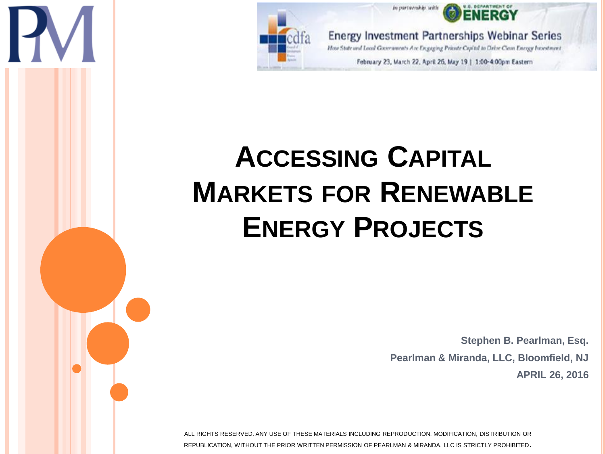

in partieriskis teit

**Energy Investment Partnerships Webinar Series** 

How State and Local Governments Are Engaging Priorite Capital to Drive Clean Energy Investment

February 23, March 22, April 26, May 19 | 1:00-4:00pm Eastern

## **ACCESSING CAPITAL MARKETS FOR RENEWABLE ENERGY PROJECTS**

**Stephen B. Pearlman, Esq. Pearlman & Miranda, LLC, Bloomfield, NJ APRIL 26, 2016**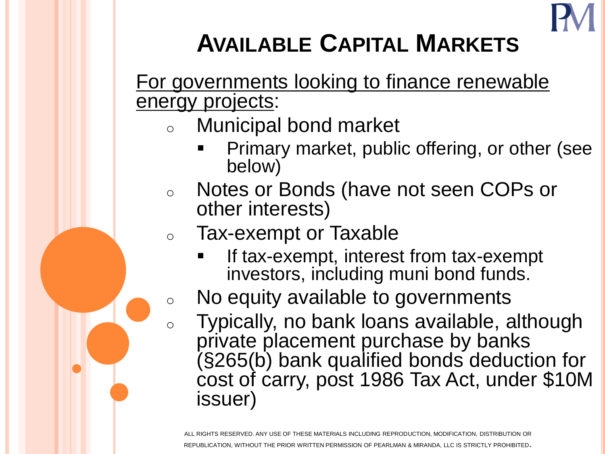

## **AVAILABLE CAPITAL MARKETS**

## For governments looking to finance renewable energy projects:

- **Municipal bond market** 
	- Primary market, public offering, or other (see below)
- Notes or Bonds (have not seen COPs or other interests)
- <sup>o</sup> Tax-exempt or Taxable
	- If tax-exempt, interest from tax-exempt investors, including muni bond funds.
- <sup>o</sup> No equity available to governments
	- Typically, no bank loans available, although private placement purchase by banks (§265(b) bank qualified bonds deduction for cost of carry, post 1986 Tax Act, under \$10M issuer)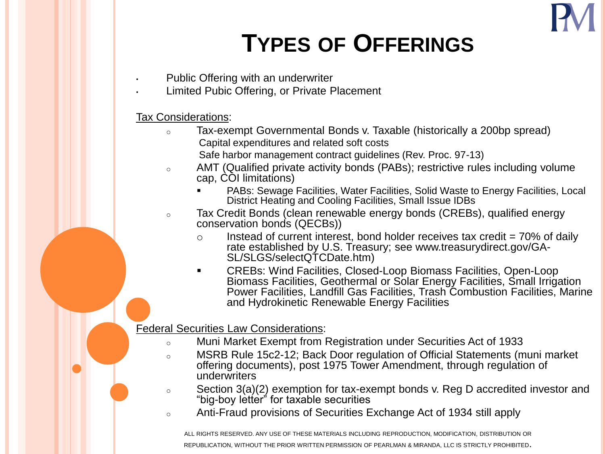

## **TYPES OF OFFERINGS**

- Public Offering with an underwriter
- Limited Pubic Offering, or Private Placement

### Tax Considerations:

- <sup>o</sup> Tax-exempt Governmental Bonds v. Taxable (historically a 200bp spread) Capital expenditures and related soft costs
	- Safe harbor management contract guidelines (Rev. Proc. 97-13)
- <sup>o</sup> AMT (Qualified private activity bonds (PABs); restrictive rules including volume cap, COI limitations)
	- PABs: Sewage Facilities, Water Facilities, Solid Waste to Energy Facilities, Local District Heating and Cooling Facilities, Small Issue IDBs
- <sup>o</sup> Tax Credit Bonds (clean renewable energy bonds (CREBs), qualified energy conservation bonds (QECBs))
	- $\circ$  Instead of current interest, bond holder receives tax credit = 70% of daily rate established by U.S. Treasury; see www.treasurydirect.gov/GA-SL/SLGS/selectQTCDate.htm)
	- CREBs: Wind Facilities, Closed-Loop Biomass Facilities, Open-Loop Biomass Facilities, Geothermal or Solar Energy Facilities, Small Irrigation Power Facilities, Landfill Gas Facilities, Trash Combustion Facilities, Marine and Hydrokinetic Renewable Energy Facilities

### Federal Securities Law Considerations:

- <sup>o</sup> Muni Market Exempt from Registration under Securities Act of 1933
- <sup>o</sup> MSRB Rule 15c2-12; Back Door regulation of Official Statements (muni market offering documents), post 1975 Tower Amendment, through regulation of underwriters
- $\circ$  Section 3(a)(2) exemption for tax-exempt bonds v. Reg D accredited investor and "big-boy letter" for taxable securities
- <sup>o</sup> Anti-Fraud provisions of Securities Exchange Act of 1934 still apply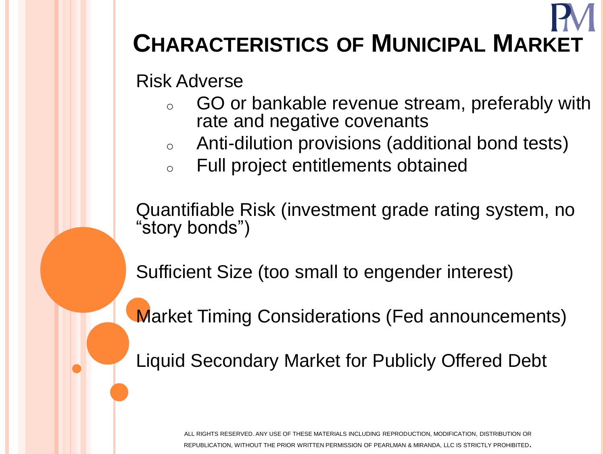## **CHARACTERISTICS OF MUNICIPAL MARKET**

Risk Adverse

- GO or bankable revenue stream, preferably with rate and negative covenants
- <sup>o</sup> Anti-dilution provisions (additional bond tests)
- Full project entitlements obtained

Quantifiable Risk (investment grade rating system, no "story bonds")

Sufficient Size (too small to engender interest)

Market Timing Considerations (Fed announcements)

Liquid Secondary Market for Publicly Offered Debt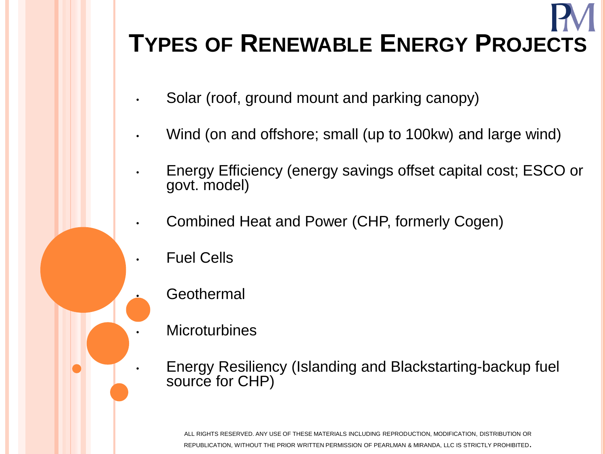# **TYPES OF RENEWABLE ENERGY PROJECTS**

- Solar (roof, ground mount and parking canopy)
- Wind (on and offshore; small (up to 100kw) and large wind)
- Energy Efficiency (energy savings offset capital cost; ESCO or govt. model)
- Combined Heat and Power (CHP, formerly Cogen)
- Fuel Cells
	- **Geothermal**
- **Microturbines**

• Energy Resiliency (Islanding and Blackstarting-backup fuel source for CHP)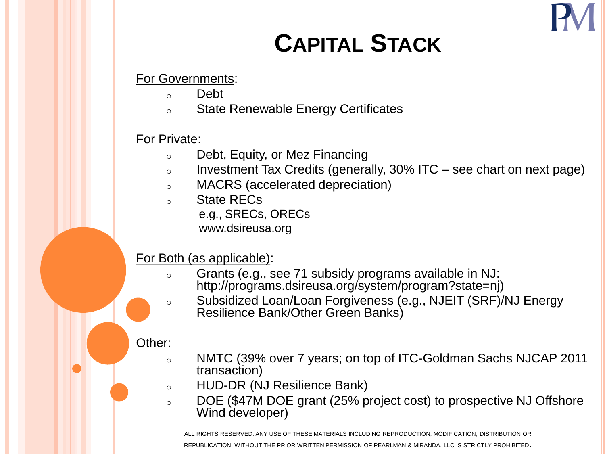

## **CAPITAL STACK**

For Governments:

- <sup>o</sup> Debt
- State Renewable Energy Certificates

### For Private:

- <sup>o</sup> Debt, Equity, or Mez Financing
- $\circ$  Investment Tax Credits (generally, 30% ITC see chart on next page)
- <sup>o</sup> MACRS (accelerated depreciation)
- <sup>o</sup> State RECs e.g., SRECs, ORECs
	- www.dsireusa.org

### For Both (as applicable):

- <sup>o</sup> Grants (e.g., see 71 subsidy programs available in NJ: http://programs.dsireusa.org/system/program?state=nj)
- <sup>o</sup> Subsidized Loan/Loan Forgiveness (e.g., NJEIT (SRF)/NJ Energy Resilience Bank/Other Green Banks)

### Other:

- <sup>o</sup> NMTC (39% over 7 years; on top of ITC-Goldman Sachs NJCAP 2011 transaction)
- <sup>o</sup> HUD-DR (NJ Resilience Bank)
- <sup>o</sup> DOE (\$47M DOE grant (25% project cost) to prospective NJ Offshore Wind developer)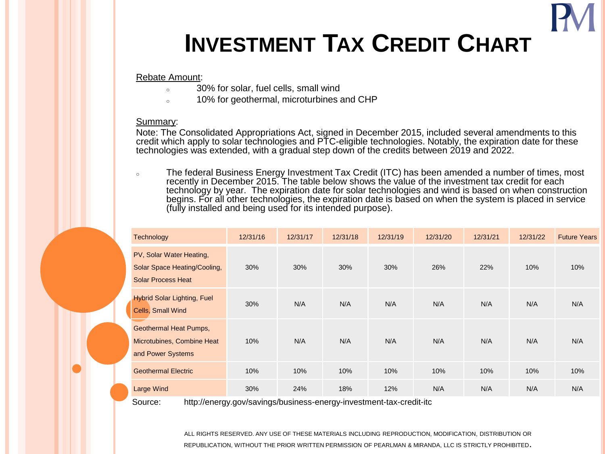## **INVESTMENT TAX CREDIT CHART**

#### Rebate Amount:

- <sup>o</sup> 30% for solar, fuel cells, small wind
- o 10% for geothermal, microturbines and CHP

#### Summary:

Note: The Consolidated Appropriations Act, signed in December 2015, included several amendments to this credit which apply to solar technologies and PTC-eligible technologies. Notably, the expiration date for these technologies was extended, with a gradual step down of the credits between 2019 and 2022.

The federal Business Energy Investment Tax Credit (ITC) has been amended a number of times, most recently in December 2015. The table below shows the value of the investment tax credit for each technology by year. The expiration date for solar technologies and wind is based on when construction begins. For all other technologies, the expiration date is based on when the system is placed in service (fully installed and being used for its intended purpose).

| <b>Technology</b>                                                                     | 12/31/16 | 12/31/17 | 12/31/18 | 12/31/19 | 12/31/20 | 12/31/21 | 12/31/22 | <b>Future Years</b> |
|---------------------------------------------------------------------------------------|----------|----------|----------|----------|----------|----------|----------|---------------------|
| PV, Solar Water Heating,<br>Solar Space Heating/Cooling,<br><b>Solar Process Heat</b> | 30%      | 30%      | 30%      | 30%      | 26%      | 22%      | 10%      | 10%                 |
| <b>Hybrid Solar Lighting, Fuel</b><br>Cells, Small Wind                               | 30%      | N/A      | N/A      | N/A      | N/A      | N/A      | N/A      | N/A                 |
| <b>Geothermal Heat Pumps,</b><br>Microtubines, Combine Heat<br>and Power Systems      | 10%      | N/A      | N/A      | N/A      | N/A      | N/A      | N/A      | N/A                 |
| <b>Geothermal Electric</b>                                                            | 10%      | 10%      | 10%      | 10%      | 10%      | 10%      | 10%      | 10%                 |
| Large Wind                                                                            | 30%      | 24%      | 18%      | 12%      | N/A      | N/A      | N/A      | N/A                 |

Source: http://energy.gov/savings/business-energy-investment-tax-credit-itc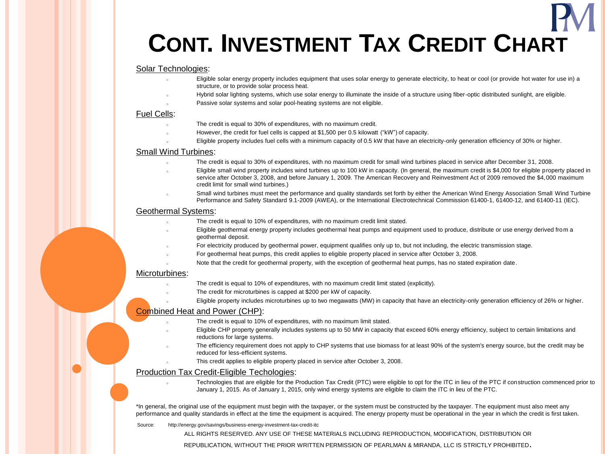## **CONT. INVESTMENT TAX CREDIT CHART**

#### Solar Technologies:

- Eligible solar energy property includes equipment that uses solar energy to generate electricity, to heat or cool (or provide hot water for use in) a structure, or to provide solar process heat.
	- Hybrid solar lighting systems, which use solar energy to illuminate the inside of a structure using fiber-optic distributed sunlight, are eligible.
	- Passive solar systems and solar pool-heating systems are not eligible.

#### Fuel Cells:

- The credit is equal to 30% of expenditures, with no maximum credit.
- However, the credit for fuel cells is capped at \$1,500 per 0.5 kilowatt ("kW") of capacity.
- Eligible property includes fuel cells with a minimum capacity of 0.5 kW that have an electricity-only generation efficiency of 30% or higher.

#### Small Wind Turbines:

- The credit is equal to 30% of expenditures, with no maximum credit for small wind turbines placed in service after December 31, 2008.
- Eligible small wind property includes wind turbines up to 100 kW in capacity. (In general, the maximum credit is \$4,000 for eligible property placed in service after October 3, 2008, and before January 1, 2009. The American Recovery and Reinvestment Act of 2009 removed the \$4,000 maximum credit limit for small wind turbines.)
- Small wind turbines must meet the performance and quality standards set forth by either the American Wind Energy Association Small Wind Turbine Performance and Safety Standard 9.1-2009 (AWEA), or the International Electrotechnical Commission 61400-1, 61400-12, and 61400-11 (IEC).

#### Geothermal Systems:

- The credit is equal to 10% of expenditures, with no maximum credit limit stated.
- Eligible geothermal energy property includes geothermal heat pumps and equipment used to produce, distribute or use energy derived from a geothermal deposit.
- For electricity produced by geothermal power, equipment qualifies only up to, but not including, the electric transmission stage.
- For geothermal heat pumps, this credit applies to eligible property placed in service after October 3, 2008.
- Note that the credit for geothermal property, with the exception of geothermal heat pumps, has no stated expiration date.

#### Microturbines:

- The credit is equal to 10% of expenditures, with no maximum credit limit stated (explicitly).
- The credit for microturbines is capped at \$200 per kW of capacity.
- Eligible property includes microturbines up to two megawatts (MW) in capacity that have an electricity-only generation efficiency of 26% or higher.

#### Combined Heat and Power (CHP):

- The credit is equal to 10% of expenditures, with no maximum limit stated.
- <sup>o</sup> Eligible CHP property generally includes systems up to 50 MW in capacity that exceed 60% energy efficiency, subject to certain limitations and reductions for large systems.
- The efficiency requirement does not apply to CHP systems that use biomass for at least 90% of the system's energy source, but the credit may be reduced for less-efficient systems.
- This credit applies to eligible property placed in service after October 3, 2008.

#### Production Tax Credit-Eligible Techologies:

Technologies that are eligible for the Production Tax Credit (PTC) were eligible to opt for the ITC in lieu of the PTC if construction commenced prior to January 1, 2015. As of January 1, 2015, only wind energy systems are eligible to claim the ITC in lieu of the PTC.

\*In general, the original use of the equipment must begin with the taxpayer, or the system must be constructed by the taxpayer. The equipment must also meet any performance and quality standards in effect at the time the equipment is acquired. The energy property must be operational in the year in which the credit is first taken.

Source: http://energy.gov/savings/business-energy-investment-tax-credit-itc

ALL RIGHTS RESERVED. ANY USE OF THESE MATERIALS INCLUDING REPRODUCTION, MODIFICATION, DISTRIBUTION OR

REPUBLICATION, WITHOUT THE PRIOR WRITTEN PERMISSION OF PEARLMAN & MIRANDA, LLC IS STRICTLY PROHIBITED.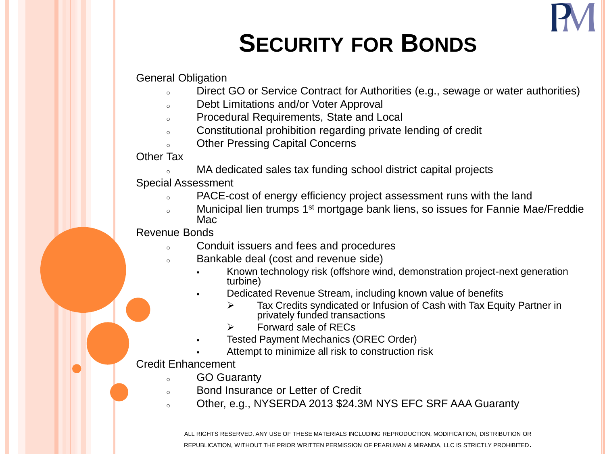

## **SECURITY FOR BONDS**

### General Obligation

- o Direct GO or Service Contract for Authorities (e.g., sewage or water authorities)
- <sup>o</sup> Debt Limitations and/or Voter Approval
- <sup>o</sup> Procedural Requirements, State and Local
- <sup>o</sup> Constitutional prohibition regarding private lending of credit
- o Other Pressing Capital Concerns

### Other Tax

<sup>o</sup> MA dedicated sales tax funding school district capital projects

### Special Assessment

- o PACE-cost of energy efficiency project assessment runs with the land
- Municipal lien trumps 1<sup>st</sup> mortgage bank liens, so issues for Fannie Mae/Freddie Mac

### Revenue Bonds

- <sup>o</sup> Conduit issuers and fees and procedures
- <sup>o</sup> Bankable deal (cost and revenue side)
	- Known technology risk (offshore wind, demonstration project-next generation turbine)
	- Dedicated Revenue Stream, including known value of benefits
		- Tax Credits syndicated or Infusion of Cash with Tax Equity Partner in privately funded transactions
		- Forward sale of RECs
		- Tested Payment Mechanics (OREC Order)
		- Attempt to minimize all risk to construction risk

### Credit Enhancement

- <sup>o</sup> GO Guaranty
- Bond Insurance or Letter of Credit
- o Other, e.g., NYSERDA 2013 \$24.3M NYS EFC SRF AAA Guaranty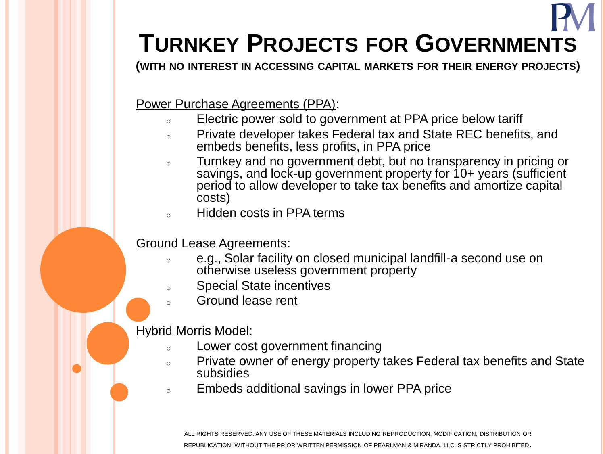## **TURNKEY PROJECTS FOR GOVERNMENTS**

**(WITH NO INTEREST IN ACCESSING CAPITAL MARKETS FOR THEIR ENERGY PROJECTS)**

Power Purchase Agreements (PPA):

- o Electric power sold to government at PPA price below tariff
- <sup>o</sup> Private developer takes Federal tax and State REC benefits, and embeds benefits, less profits, in PPA price
- o Turnkey and no government debt, but no transparency in pricing or savings, and lock-up government property for 10+ years (sufficient period to allow developer to take tax benefits and amortize capital costs)
- <sup>o</sup> Hidden costs in PPA terms

### Ground Lease Agreements:

- e.g., Solar facility on closed municipal landfill-a second use on otherwise useless government property
- <sup>o</sup> Special State incentives
- Ground lease rent

### Hybrid Morris Model:

- <sup>o</sup> Lower cost government financing
- o Private owner of energy property takes Federal tax benefits and State subsidies
- <sup>o</sup> Embeds additional savings in lower PPA price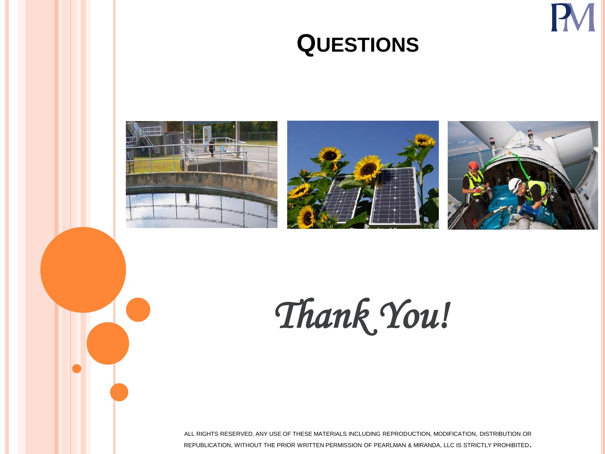## **QUESTIONS**







*Thank You!*